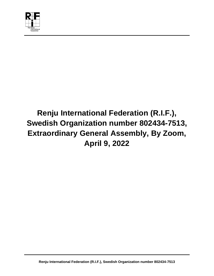

# **Renju International Federation (R.I.F.), Swedish Organization number 802434-7513, Extraordinary General Assembly, By Zoom, April 9, 2022**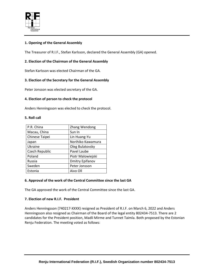

# **1. Opening of the General Assembly**

The Treasurer of R.I.F., Stefan Karlsson, declared the General Assembly (GA) opened.

# **2. Election of the Chairman of the General Assembly**

Stefan Karlsson was elected Chairman of the GA.

# **3. Election of the Secretary for the General Assembly**

Peter Jonsson was elected secretary of the GA.

## **4. Election of person to check the protocol**

Anders Henningsson was elected to check the protocol.

## **5. Roll call**

| P.R. China     | Zhang Wendong          |
|----------------|------------------------|
| Macau, China   | Sun In                 |
| Chinese Taipei | Lin Huang-Yu           |
| Japan          | Norihiko Kawamura      |
| Ukraine        | Oleg Bulatovsky        |
| Czech Republic | Pavel Laube            |
| Poland         | Piotr Malowiejski      |
| Russia         | <b>Dmitry Epifanov</b> |
| Sweden         | Peter Jonsson          |
| Estonia        | Aivo Oll               |

## **6. Approval of the work of the Central Committee since the last GA**

The GA approved the work of the Central Committee since the last GA.

## **7. Election of new R.I.F. President**

Anders Henningsson (740217-XXXX) resigned as President of R.I.F. on March 6, 2022 and Anders Henningsson also resigned as Chairman of the Board of the legal entity 802434-7513. There are 2 candidates for the President position, Madli Mirme and Tunnet Taimla. Both proposed by the Estonian Renju Federation. The meeting voted as follows: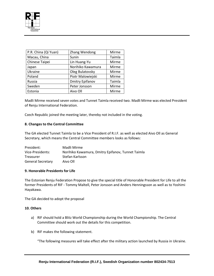

| P.R. China (Qi Yuan) | Zhang Wendong          | Mirme  |
|----------------------|------------------------|--------|
| Macau, China         | Sunin                  | Taimla |
| Chinese Taipei       | Lin Huang-Yu           | Mirme  |
| Japan                | Norihiko Kawamura      | Mirme  |
| Ukraine              | Oleg Bulatovsky        | Mirme  |
| Poland               | Piotr Malowiejski      | Mirme  |
| Russia               | <b>Dmitry Epifanov</b> | Taimla |
| Sweden               | Peter Jonsson          | Mirme  |
| Estonia              | Aivo Oll               | Mirme  |

Madli Mirme received seven votes and Tunnet Taimla received two. Madli Mirme was elected President of Renju International Federation.

Czech Republic joined the meeting later, thereby not included in the voting.

## **8. Changes to the Central Committee**

The GA elected Tunnet Taimla to be a Vice President of R.I.F. as well as elected Aivo Oll as General Secretary, which means the Central Committee members looks as follows:

| President:               | Madli Mirme                                       |
|--------------------------|---------------------------------------------------|
| Vice-Presidents:         | Norihiko Kawamura, Dmitry Epifanov, Tunnet Taimla |
| Treasurer                | Stefan Karlsson                                   |
| <b>General Secretary</b> | Aivo Oll                                          |

#### **9. Honorable Presidents for Life**

The Estonian Renju Federation Propose to give the special title of Honorable President for Life to all the former Presidents of RIF - Tommy Maltell, Peter Jonsson and Anders Henningsson as well as to Yoshimi Hayakawa.

The GA decided to adopt the proposal

#### **10. Others**

- a) RIF should hold a Blitz World Championship during the World Championship. The Central Committee should work out the details for this competition.
- b) RIF makes the following statement.

"The following measures will take effect after the military action launched by Russia in Ukraine.